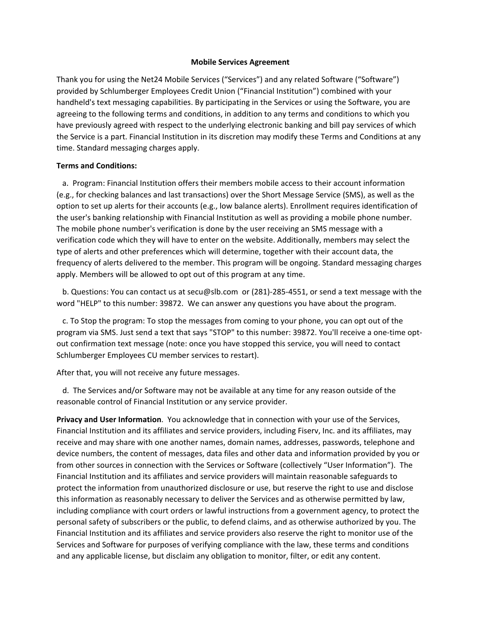#### **Mobile Services Agreement**

Thank you for using the Net24 Mobile Services ("Services") and any related Software ("Software") provided by Schlumberger Employees Credit Union ("Financial Institution") combined with your handheld's text messaging capabilities. By participating in the Services or using the Software, you are agreeing to the following terms and conditions, in addition to any terms and conditions to which you have previously agreed with respect to the underlying electronic banking and bill pay services of which the Service is a part. Financial Institution in its discretion may modify these Terms and Conditions at any time. Standard messaging charges apply.

#### **Terms and Conditions:**

 a. Program: Financial Institution offers their members mobile access to their account information (e.g., for checking balances and last transactions) over the Short Message Service (SMS), as well as the option to set up alerts for their accounts (e.g., low balance alerts). Enrollment requires identification of the user's banking relationship with Financial Institution as well as providing a mobile phone number. The mobile phone number's verification is done by the user receiving an SMS message with a verification code which they will have to enter on the website. Additionally, members may select the type of alerts and other preferences which will determine, together with their account data, the frequency of alerts delivered to the member. This program will be ongoing. Standard messaging charges apply. Members will be allowed to opt out of this program at any time.

 b. Questions: You can contact us at secu@slb.com or (281)‐285‐4551, or send a text message with the word "HELP" to this number: 39872. We can answer any questions you have about the program.

 c. To Stop the program: To stop the messages from coming to your phone, you can opt out of the program via SMS. Just send a text that says "STOP" to this number: 39872. You'll receive a one‐time opt‐ out confirmation text message (note: once you have stopped this service, you will need to contact Schlumberger Employees CU member services to restart).

After that, you will not receive any future messages.

 d. The Services and/or Software may not be available at any time for any reason outside of the reasonable control of Financial Institution or any service provider.

**Privacy and User Information**. You acknowledge that in connection with your use of the Services, Financial Institution and its affiliates and service providers, including Fiserv, Inc. and its affiliates, may receive and may share with one another names, domain names, addresses, passwords, telephone and device numbers, the content of messages, data files and other data and information provided by you or from other sources in connection with the Services or Software (collectively "User Information"). The Financial Institution and its affiliates and service providers will maintain reasonable safeguards to protect the information from unauthorized disclosure or use, but reserve the right to use and disclose this information as reasonably necessary to deliver the Services and as otherwise permitted by law, including compliance with court orders or lawful instructions from a government agency, to protect the personal safety of subscribers or the public, to defend claims, and as otherwise authorized by you. The Financial Institution and its affiliates and service providers also reserve the right to monitor use of the Services and Software for purposes of verifying compliance with the law, these terms and conditions and any applicable license, but disclaim any obligation to monitor, filter, or edit any content.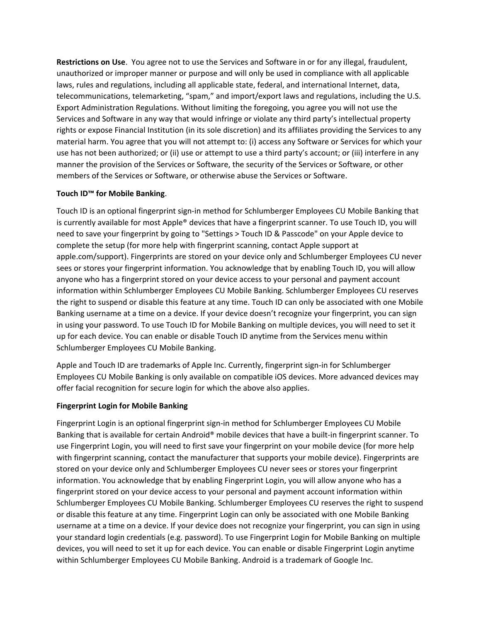**Restrictions on Use**. You agree not to use the Services and Software in or for any illegal, fraudulent, unauthorized or improper manner or purpose and will only be used in compliance with all applicable laws, rules and regulations, including all applicable state, federal, and international Internet, data, telecommunications, telemarketing, "spam," and import/export laws and regulations, including the U.S. Export Administration Regulations. Without limiting the foregoing, you agree you will not use the Services and Software in any way that would infringe or violate any third party's intellectual property rights or expose Financial Institution (in its sole discretion) and its affiliates providing the Services to any material harm. You agree that you will not attempt to: (i) access any Software or Services for which your use has not been authorized; or (ii) use or attempt to use a third party's account; or (iii) interfere in any manner the provision of the Services or Software, the security of the Services or Software, or other members of the Services or Software, or otherwise abuse the Services or Software.

## **Touch ID™ for Mobile Banking**.

Touch ID is an optional fingerprint sign‐in method for Schlumberger Employees CU Mobile Banking that is currently available for most Apple® devices that have a fingerprint scanner. To use Touch ID, you will need to save your fingerprint by going to "Settings > Touch ID & Passcode" on your Apple device to complete the setup (for more help with fingerprint scanning, contact Apple support at apple.com/support). Fingerprints are stored on your device only and Schlumberger Employees CU never sees or stores your fingerprint information. You acknowledge that by enabling Touch ID, you will allow anyone who has a fingerprint stored on your device access to your personal and payment account information within Schlumberger Employees CU Mobile Banking. Schlumberger Employees CU reserves the right to suspend or disable this feature at any time. Touch ID can only be associated with one Mobile Banking username at a time on a device. If your device doesn't recognize your fingerprint, you can sign in using your password. To use Touch ID for Mobile Banking on multiple devices, you will need to set it up for each device. You can enable or disable Touch ID anytime from the Services menu within Schlumberger Employees CU Mobile Banking.

Apple and Touch ID are trademarks of Apple Inc. Currently, fingerprint sign-in for Schlumberger Employees CU Mobile Banking is only available on compatible iOS devices. More advanced devices may offer facial recognition for secure login for which the above also applies.

## **Fingerprint Login for Mobile Banking**

Fingerprint Login is an optional fingerprint sign‐in method for Schlumberger Employees CU Mobile Banking that is available for certain Android® mobile devices that have a built-in fingerprint scanner. To use Fingerprint Login, you will need to first save your fingerprint on your mobile device (for more help with fingerprint scanning, contact the manufacturer that supports your mobile device). Fingerprints are stored on your device only and Schlumberger Employees CU never sees or stores your fingerprint information. You acknowledge that by enabling Fingerprint Login, you will allow anyone who has a fingerprint stored on your device access to your personal and payment account information within Schlumberger Employees CU Mobile Banking. Schlumberger Employees CU reserves the right to suspend or disable this feature at any time. Fingerprint Login can only be associated with one Mobile Banking username at a time on a device. If your device does not recognize your fingerprint, you can sign in using your standard login credentials (e.g. password). To use Fingerprint Login for Mobile Banking on multiple devices, you will need to set it up for each device. You can enable or disable Fingerprint Login anytime within Schlumberger Employees CU Mobile Banking. Android is a trademark of Google Inc.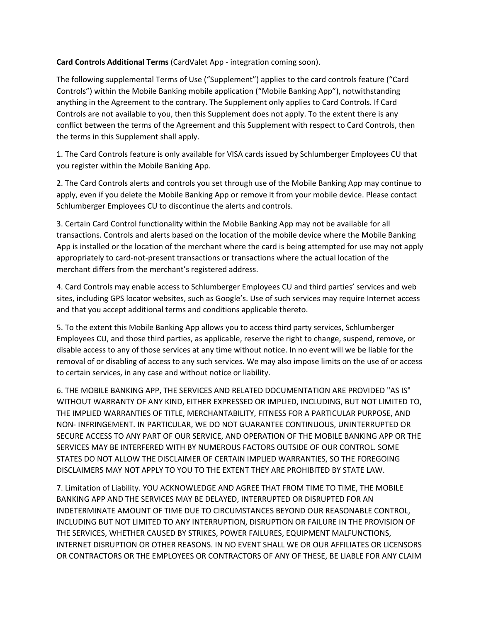# **Card Controls Additional Terms** (CardValet App ‐ integration coming soon).

The following supplemental Terms of Use ("Supplement") applies to the card controls feature ("Card Controls") within the Mobile Banking mobile application ("Mobile Banking App"), notwithstanding anything in the Agreement to the contrary. The Supplement only applies to Card Controls. If Card Controls are not available to you, then this Supplement does not apply. To the extent there is any conflict between the terms of the Agreement and this Supplement with respect to Card Controls, then the terms in this Supplement shall apply.

1. The Card Controls feature is only available for VISA cards issued by Schlumberger Employees CU that you register within the Mobile Banking App.

2. The Card Controls alerts and controls you set through use of the Mobile Banking App may continue to apply, even if you delete the Mobile Banking App or remove it from your mobile device. Please contact Schlumberger Employees CU to discontinue the alerts and controls.

3. Certain Card Control functionality within the Mobile Banking App may not be available for all transactions. Controls and alerts based on the location of the mobile device where the Mobile Banking App is installed or the location of the merchant where the card is being attempted for use may not apply appropriately to card‐not‐present transactions or transactions where the actual location of the merchant differs from the merchant's registered address.

4. Card Controls may enable access to Schlumberger Employees CU and third parties' services and web sites, including GPS locator websites, such as Google's. Use of such services may require Internet access and that you accept additional terms and conditions applicable thereto.

5. To the extent this Mobile Banking App allows you to access third party services, Schlumberger Employees CU, and those third parties, as applicable, reserve the right to change, suspend, remove, or disable access to any of those services at any time without notice. In no event will we be liable for the removal of or disabling of access to any such services. We may also impose limits on the use of or access to certain services, in any case and without notice or liability.

6. THE MOBILE BANKING APP, THE SERVICES AND RELATED DOCUMENTATION ARE PROVIDED "AS IS" WITHOUT WARRANTY OF ANY KIND, EITHER EXPRESSED OR IMPLIED, INCLUDING, BUT NOT LIMITED TO, THE IMPLIED WARRANTIES OF TITLE, MERCHANTABILITY, FITNESS FOR A PARTICULAR PURPOSE, AND NON‐ INFRINGEMENT. IN PARTICULAR, WE DO NOT GUARANTEE CONTINUOUS, UNINTERRUPTED OR SECURE ACCESS TO ANY PART OF OUR SERVICE, AND OPERATION OF THE MOBILE BANKING APP OR THE SERVICES MAY BE INTERFERED WITH BY NUMEROUS FACTORS OUTSIDE OF OUR CONTROL. SOME STATES DO NOT ALLOW THE DISCLAIMER OF CERTAIN IMPLIED WARRANTIES, SO THE FOREGOING DISCLAIMERS MAY NOT APPLY TO YOU TO THE EXTENT THEY ARE PROHIBITED BY STATE LAW.

7. Limitation of Liability. YOU ACKNOWLEDGE AND AGREE THAT FROM TIME TO TIME, THE MOBILE BANKING APP AND THE SERVICES MAY BE DELAYED, INTERRUPTED OR DISRUPTED FOR AN INDETERMINATE AMOUNT OF TIME DUE TO CIRCUMSTANCES BEYOND OUR REASONABLE CONTROL, INCLUDING BUT NOT LIMITED TO ANY INTERRUPTION, DISRUPTION OR FAILURE IN THE PROVISION OF THE SERVICES, WHETHER CAUSED BY STRIKES, POWER FAILURES, EQUIPMENT MALFUNCTIONS, INTERNET DISRUPTION OR OTHER REASONS. IN NO EVENT SHALL WE OR OUR AFFILIATES OR LICENSORS OR CONTRACTORS OR THE EMPLOYEES OR CONTRACTORS OF ANY OF THESE, BE LIABLE FOR ANY CLAIM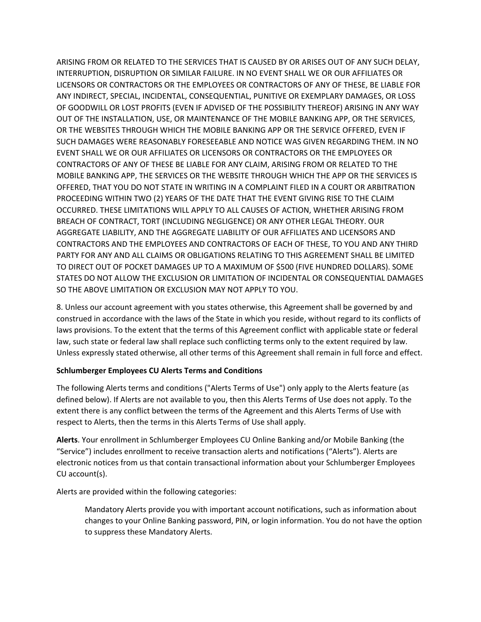ARISING FROM OR RELATED TO THE SERVICES THAT IS CAUSED BY OR ARISES OUT OF ANY SUCH DELAY, INTERRUPTION, DISRUPTION OR SIMILAR FAILURE. IN NO EVENT SHALL WE OR OUR AFFILIATES OR LICENSORS OR CONTRACTORS OR THE EMPLOYEES OR CONTRACTORS OF ANY OF THESE, BE LIABLE FOR ANY INDIRECT, SPECIAL, INCIDENTAL, CONSEQUENTIAL, PUNITIVE OR EXEMPLARY DAMAGES, OR LOSS OF GOODWILL OR LOST PROFITS (EVEN IF ADVISED OF THE POSSIBILITY THEREOF) ARISING IN ANY WAY OUT OF THE INSTALLATION, USE, OR MAINTENANCE OF THE MOBILE BANKING APP, OR THE SERVICES, OR THE WEBSITES THROUGH WHICH THE MOBILE BANKING APP OR THE SERVICE OFFERED, EVEN IF SUCH DAMAGES WERE REASONABLY FORESEEABLE AND NOTICE WAS GIVEN REGARDING THEM. IN NO EVENT SHALL WE OR OUR AFFILIATES OR LICENSORS OR CONTRACTORS OR THE EMPLOYEES OR CONTRACTORS OF ANY OF THESE BE LIABLE FOR ANY CLAIM, ARISING FROM OR RELATED TO THE MOBILE BANKING APP, THE SERVICES OR THE WEBSITE THROUGH WHICH THE APP OR THE SERVICES IS OFFERED, THAT YOU DO NOT STATE IN WRITING IN A COMPLAINT FILED IN A COURT OR ARBITRATION PROCEEDING WITHIN TWO (2) YEARS OF THE DATE THAT THE EVENT GIVING RISE TO THE CLAIM OCCURRED. THESE LIMITATIONS WILL APPLY TO ALL CAUSES OF ACTION, WHETHER ARISING FROM BREACH OF CONTRACT, TORT (INCLUDING NEGLIGENCE) OR ANY OTHER LEGAL THEORY. OUR AGGREGATE LIABILITY, AND THE AGGREGATE LIABILITY OF OUR AFFILIATES AND LICENSORS AND CONTRACTORS AND THE EMPLOYEES AND CONTRACTORS OF EACH OF THESE, TO YOU AND ANY THIRD PARTY FOR ANY AND ALL CLAIMS OR OBLIGATIONS RELATING TO THIS AGREEMENT SHALL BE LIMITED TO DIRECT OUT OF POCKET DAMAGES UP TO A MAXIMUM OF \$500 (FIVE HUNDRED DOLLARS). SOME STATES DO NOT ALLOW THE EXCLUSION OR LIMITATION OF INCIDENTAL OR CONSEQUENTIAL DAMAGES SO THE ABOVE LIMITATION OR EXCLUSION MAY NOT APPLY TO YOU.

8. Unless our account agreement with you states otherwise, this Agreement shall be governed by and construed in accordance with the laws of the State in which you reside, without regard to its conflicts of laws provisions. To the extent that the terms of this Agreement conflict with applicable state or federal law, such state or federal law shall replace such conflicting terms only to the extent required by law. Unless expressly stated otherwise, all other terms of this Agreement shall remain in full force and effect.

## **Schlumberger Employees CU Alerts Terms and Conditions**

The following Alerts terms and conditions ("Alerts Terms of Use") only apply to the Alerts feature (as defined below). If Alerts are not available to you, then this Alerts Terms of Use does not apply. To the extent there is any conflict between the terms of the Agreement and this Alerts Terms of Use with respect to Alerts, then the terms in this Alerts Terms of Use shall apply.

**Alerts**. Your enrollment in Schlumberger Employees CU Online Banking and/or Mobile Banking (the "Service") includes enrollment to receive transaction alerts and notifications ("Alerts"). Alerts are electronic notices from us that contain transactional information about your Schlumberger Employees CU account(s).

Alerts are provided within the following categories:

Mandatory Alerts provide you with important account notifications, such as information about changes to your Online Banking password, PIN, or login information. You do not have the option to suppress these Mandatory Alerts.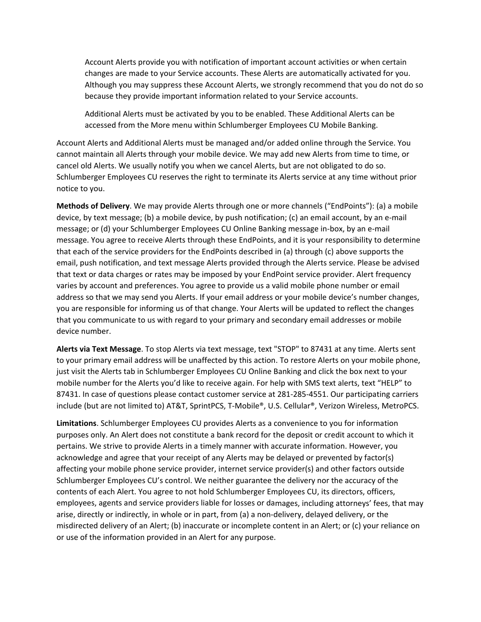Account Alerts provide you with notification of important account activities or when certain changes are made to your Service accounts. These Alerts are automatically activated for you. Although you may suppress these Account Alerts, we strongly recommend that you do not do so because they provide important information related to your Service accounts.

Additional Alerts must be activated by you to be enabled. These Additional Alerts can be accessed from the More menu within Schlumberger Employees CU Mobile Banking.

Account Alerts and Additional Alerts must be managed and/or added online through the Service. You cannot maintain all Alerts through your mobile device. We may add new Alerts from time to time, or cancel old Alerts. We usually notify you when we cancel Alerts, but are not obligated to do so. Schlumberger Employees CU reserves the right to terminate its Alerts service at any time without prior notice to you.

**Methods of Delivery**. We may provide Alerts through one or more channels ("EndPoints"): (a) a mobile device, by text message; (b) a mobile device, by push notification; (c) an email account, by an e‐mail message; or (d) your Schlumberger Employees CU Online Banking message in‐box, by an e‐mail message. You agree to receive Alerts through these EndPoints, and it is your responsibility to determine that each of the service providers for the EndPoints described in (a) through (c) above supports the email, push notification, and text message Alerts provided through the Alerts service. Please be advised that text or data charges or rates may be imposed by your EndPoint service provider. Alert frequency varies by account and preferences. You agree to provide us a valid mobile phone number or email address so that we may send you Alerts. If your email address or your mobile device's number changes, you are responsible for informing us of that change. Your Alerts will be updated to reflect the changes that you communicate to us with regard to your primary and secondary email addresses or mobile device number.

**Alerts via Text Message**. To stop Alerts via text message, text "STOP" to 87431 at any time. Alerts sent to your primary email address will be unaffected by this action. To restore Alerts on your mobile phone, just visit the Alerts tab in Schlumberger Employees CU Online Banking and click the box next to your mobile number for the Alerts you'd like to receive again. For help with SMS text alerts, text "HELP" to 87431. In case of questions please contact customer service at 281-285-4551. Our participating carriers include (but are not limited to) AT&T, SprintPCS, T‐Mobile®, U.S. Cellular®, Verizon Wireless, MetroPCS.

**Limitations**. Schlumberger Employees CU provides Alerts as a convenience to you for information purposes only. An Alert does not constitute a bank record for the deposit or credit account to which it pertains. We strive to provide Alerts in a timely manner with accurate information. However, you acknowledge and agree that your receipt of any Alerts may be delayed or prevented by factor(s) affecting your mobile phone service provider, internet service provider(s) and other factors outside Schlumberger Employees CU's control. We neither guarantee the delivery nor the accuracy of the contents of each Alert. You agree to not hold Schlumberger Employees CU, its directors, officers, employees, agents and service providers liable for losses or damages, including attorneys' fees, that may arise, directly or indirectly, in whole or in part, from (a) a non-delivery, delayed delivery, or the misdirected delivery of an Alert; (b) inaccurate or incomplete content in an Alert; or (c) your reliance on or use of the information provided in an Alert for any purpose.